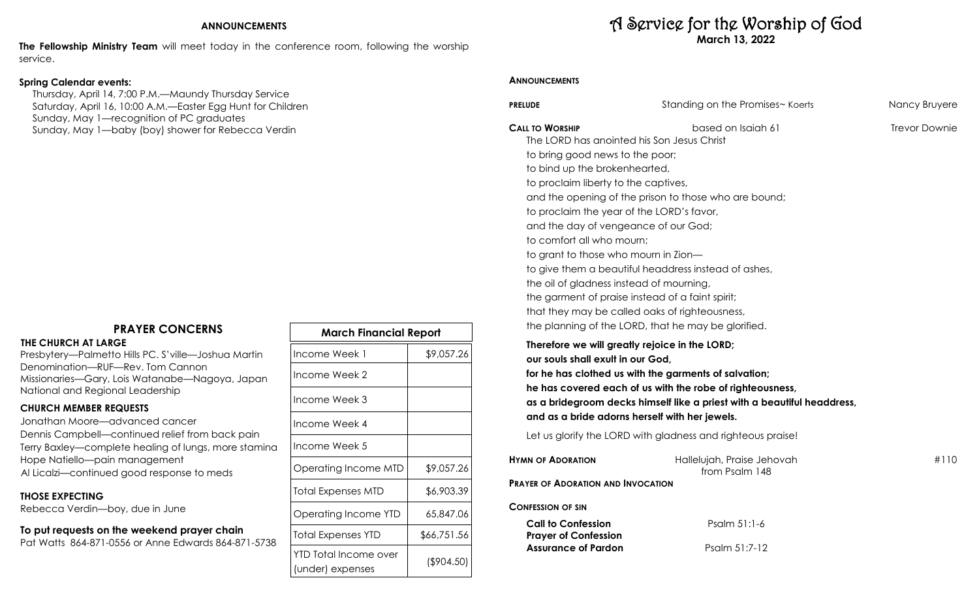### **ANNOUNCEMENTS**

**The Fellowship Ministry Team** will meet today in the conference room, following the worship service.

## **Spring Calendar events:**

 Thursday, April 14, 7:00 P.M.—Maundy Thursday Service Saturday, April 16, 10:00 A.M.—Easter Egg Hunt for Children Sunday, May 1—recognition of PC graduates Sunday, May 1—baby (boy) shower for Rebecca Verdin

# **PRAYER CONCERNS**

#### **THE CHURCH AT LARGE**

Presbytery—Palmetto Hills PC. S'ville—Joshua Martin Denomination—RUF—Rev. Tom Cannon Missionaries—Gary, Lois Watanabe—Nagoya, Japan National and Regional Leadership

### **CHURCH MEMBER REQUESTS**

Jonathan Moore—advanced cancer Dennis Campbell—continued relief from back pain Terry Baxley—complete healing of lungs, more stamina Hope Natiello—pain management Al Licalzi—continued good response to meds

### **THOSE EXPECTING**

Rebecca Verdin—boy, due in June

## **To put requests on the weekend prayer chain**

Pat Watts 864-871-0556 or Anne Edwards 864-871-5738

| march i lingucial Report                  |             |  |
|-------------------------------------------|-------------|--|
| Income Week 1                             | \$9,057.26  |  |
| Income Week 2                             |             |  |
| Income Week 3                             |             |  |
| Income Week 4                             |             |  |
| Income Week 5                             |             |  |
| Operating Income MTD                      | \$9,057.26  |  |
| <b>Total Expenses MTD</b>                 | \$6,903.39  |  |
| Operating Income YTD                      | 65,847.06   |  |
| <b>Total Expenses YTD</b>                 | \$66,751.56 |  |
| YTD Total Income over<br>(under) expenses | (\$904.50)  |  |

**March Financial Report**

# A Service for the Worship of God **March 13, 2022**

### **ANNOUNCEMENTS**

**Prayer of Confession**

**Assurance of Pardon** Psalm 51:7-12

| <b>PRELUDE</b>                                                                                                                                                                                                                                                                                                                                                                                                                             | Standing on the Promises~ Koerts                                                                                                                                                                                                             | Nancy Bruyere        |
|--------------------------------------------------------------------------------------------------------------------------------------------------------------------------------------------------------------------------------------------------------------------------------------------------------------------------------------------------------------------------------------------------------------------------------------------|----------------------------------------------------------------------------------------------------------------------------------------------------------------------------------------------------------------------------------------------|----------------------|
| <b>CALL TO WORSHIP</b><br>The LORD has anointed his Son Jesus Christ<br>to bring good news to the poor;<br>to bind up the brokenhearted,<br>to proclaim liberty to the captives,<br>to proclaim the year of the LORD's favor,<br>and the day of vengeance of our God;<br>to comfort all who mourn;<br>to grant to those who mourn in Zion-<br>the oil of gladness instead of mourning,<br>the garment of praise instead of a faint spirit; | based on Isaiah 61<br>and the opening of the prison to those who are bound;<br>to give them a beautiful headdress instead of ashes,<br>that they may be called oaks of righteousness,<br>the planning of the LORD, that he may be glorified. | <b>Trevor Downie</b> |
| Therefore we will greatly rejoice in the LORD;<br>our souls shall exult in our God,<br>and as a bride adorns herself with her jewels.                                                                                                                                                                                                                                                                                                      | for he has clothed us with the garments of salvation;<br>he has covered each of us with the robe of righteousness,<br>as a bridegroom decks himself like a priest with a beautiful headdress,                                                |                      |
|                                                                                                                                                                                                                                                                                                                                                                                                                                            | Let us glorify the LORD with gladness and righteous praise!                                                                                                                                                                                  |                      |
| <b>HYMN OF ADORATION</b>                                                                                                                                                                                                                                                                                                                                                                                                                   | Hallelujah, Praise Jehovah<br>from Psalm 148                                                                                                                                                                                                 | #110                 |
| <b>PRAYER OF ADORATION AND INVOCATION</b>                                                                                                                                                                                                                                                                                                                                                                                                  |                                                                                                                                                                                                                                              |                      |
| <b>CONFESSION OF SIN</b>                                                                                                                                                                                                                                                                                                                                                                                                                   |                                                                                                                                                                                                                                              |                      |
| <b>Call to Confession</b>                                                                                                                                                                                                                                                                                                                                                                                                                  | Psalm $51:1-6$                                                                                                                                                                                                                               |                      |